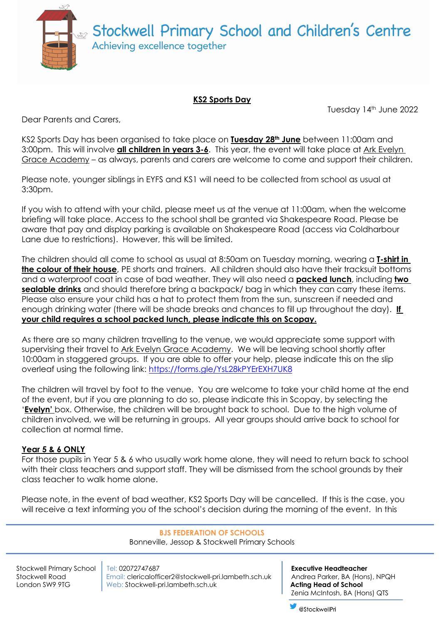

## **KS2 Sports Day**

Tuesday 14th June 2022

Dear Parents and Carers,

KS2 Sports Day has been organised to take place on **Tuesday 28th June** between 11:00am and 3:00pm. This will involve **all children in years 3-6**. This year, the event will take place at Ark Evelyn Grace Academy – as always, parents and carers are welcome to come and support their children.

Please note, younger siblings in EYFS and KS1 will need to be collected from school as usual at 3:30pm.

If you wish to attend with your child, please meet us at the venue at 11:00am, when the welcome briefing will take place. Access to the school shall be granted via Shakespeare Road. Please be aware that pay and display parking is available on Shakespeare Road (access via Coldharbour Lane due to restrictions). However, this will be limited.

The children should all come to school as usual at 8:50am on Tuesday morning, wearing a **T-shirt in the colour of their house**, PE shorts and trainers. All children should also have their tracksuit bottoms and a waterproof coat in case of bad weather. They will also need a **packed lunch**, including **two sealable drinks** and should therefore bring a backpack/ bag in which they can carry these items. Please also ensure your child has a hat to protect them from the sun, sunscreen if needed and enough drinking water (there will be shade breaks and chances to fill up throughout the day). **If your child requires a school packed lunch, please indicate this on Scopay.**

As there are so many children travelling to the venue, we would appreciate some support with supervising their travel to Ark Evelyn Grace Academy. We will be leaving school shortly after 10:00am in staggered groups. If you are able to offer your help, please indicate this on the slip overleaf using the following link: https://forms.gle/YsL28kPYErEXH7UK8

The children will travel by foot to the venue. You are welcome to take your child home at the end of the event, but if you are planning to do so, please indicate this in Scopay, by selecting the '**Evelyn'** box. Otherwise, the children will be brought back to school. Due to the high volume of children involved, we will be returning in groups. All year groups should arrive back to school for collection at normal time.

## **Year 5 & 6 ONLY**

For those pupils in Year 5 & 6 who usually work home alone, they will need to return back to school with their class teachers and support staff. They will be dismissed from the school grounds by their class teacher to walk home alone.

Please note, in the event of bad weather, KS2 Sports Day will be cancelled. If this is the case, you will receive a text informing you of the school's decision during the morning of the event. In this

## **BJS FEDERATION OF SCHOOLS**

Bonneville, Jessop & Stockwell Primary Schools

Stockwell Primary School Tel: 02072747687 **Executive Headteacher** Stockwell Road Email: clericalofficer2@stockwell-pri.lambeth.sch.uk | Andrea Parker, BA (Hons), NPQH London SW9 9TG **Web: Stockwell-pri.lambeth.sch.uk <b>Acting Head of School** 

Zenia McIntosh, BA (Hons) QTS